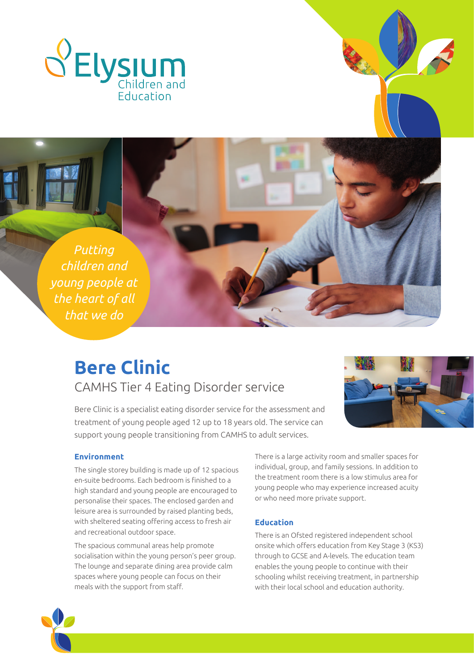





# **Bere Clinic**

CAMHS Tier 4 Eating Disorder service

Bere Clinic is a specialist eating disorder service for the assessment and treatment of young people aged 12 up to 18 years old. The service can support young people transitioning from CAMHS to adult services.



#### **Environment**

The single storey building is made up of 12 spacious en-suite bedrooms. Each bedroom is finished to a high standard and young people are encouraged to personalise their spaces. The enclosed garden and leisure area is surrounded by raised planting beds, with sheltered seating offering access to fresh air and recreational outdoor space.

The spacious communal areas help promote socialisation within the young person's peer group. The lounge and separate dining area provide calm spaces where young people can focus on their meals with the support from staff.

There is a large activity room and smaller spaces for individual, group, and family sessions. In addition to the treatment room there is a low stimulus area for young people who may experience increased acuity or who need more private support.

### **Education**

There is an Ofsted registered independent school onsite which offers education from Key Stage 3 (KS3) through to GCSE and A-levels. The education team enables the young people to continue with their schooling whilst receiving treatment, in partnership with their local school and education authority.